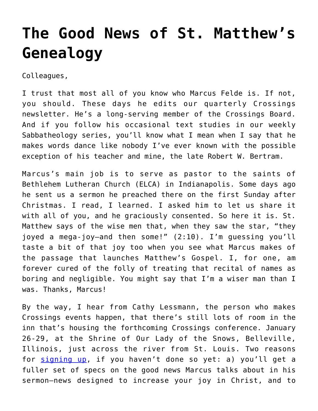## **[The Good News of St. Matthew's](https://crossings.org/the-good-news-of-st-matthews-genealogy/) [Genealogy](https://crossings.org/the-good-news-of-st-matthews-genealogy/)**

Colleagues,

I trust that most all of you know who Marcus Felde is. If not, you should. These days he edits our quarterly Crossings newsletter. He's a long-serving member of the Crossings Board. And if you follow his occasional text studies in our weekly Sabbatheology series, you'll know what I mean when I say that he makes words dance like nobody I've ever known with the possible exception of his teacher and mine, the late Robert W. Bertram.

Marcus's main job is to serve as pastor to the saints of Bethlehem Lutheran Church (ELCA) in Indianapolis. Some days ago he sent us a sermon he preached there on the first Sunday after Christmas. I read, I learned. I asked him to let us share it with all of you, and he graciously consented. So here it is. St. Matthew says of the wise men that, when they saw the star, "they joyed a mega-joy—and then some!" (2:10). I'm guessing you'll taste a bit of that joy too when you see what Marcus makes of the passage that launches Matthew's Gospel. I, for one, am forever cured of the folly of treating that recital of names as boring and negligible. You might say that I'm a wiser man than I was. Thanks, Marcus!

By the way, I hear from Cathy Lessmann, the person who makes Crossings events happen, that there's still lots of room in the inn that's housing the forthcoming Crossings conference. January 26-29, at the Shrine of Our Lady of the Snows, Belleville, Illinois, just across the river from St. Louis. Two reasons for [signing up,](https://crossings.org/conference/2014conf-reg-form.shtml) if you haven't done so yet: a) you'll get a fuller set of specs on the good news Marcus talks about in his sermon—news designed to increase your joy in Christ, and to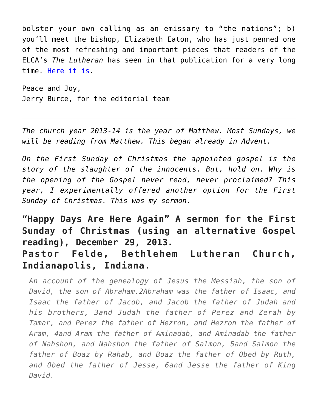bolster your own calling as an emissary to "the nations"; b) you'll meet the bishop, Elizabeth Eaton, who has just penned one of the most refreshing and important pieces that readers of the ELCA's *The Lutheran* has seen in that publication for a very long time. [Here it is.](http://www.thelutheran.org/article/article.cfm?article_id=11792)

Peace and Joy, Jerry Burce, for the editorial team

*The church year 2013-14 is the year of Matthew. Most Sundays, we will be reading from Matthew. This began already in Advent.*

*On the First Sunday of Christmas the appointed gospel is the story of the slaughter of the innocents. But, hold on. Why is the opening of the Gospel never read, never proclaimed? This year, I experimentally offered another option for the First Sunday of Christmas. This was my sermon.*

**"Happy Days Are Here Again" A sermon for the First Sunday of Christmas (using an alternative Gospel reading), December 29, 2013. Pastor Felde, Bethlehem Lutheran Church, Indianapolis, Indiana.**

*An account of the genealogy of Jesus the Messiah, the son of David, the son of Abraham.2Abraham was the father of Isaac, and Isaac the father of Jacob, and Jacob the father of Judah and his brothers, 3and Judah the father of Perez and Zerah by Tamar, and Perez the father of Hezron, and Hezron the father of Aram, 4and Aram the father of Aminadab, and Aminadab the father of Nahshon, and Nahshon the father of Salmon, 5and Salmon the father of Boaz by Rahab, and Boaz the father of Obed by Ruth, and Obed the father of Jesse, 6and Jesse the father of King David.*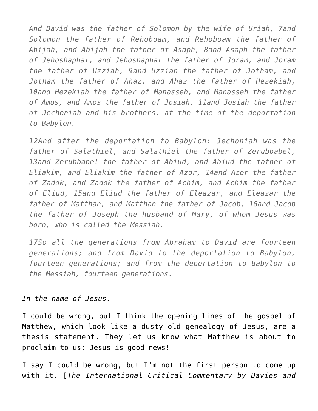*And David was the father of Solomon by the wife of Uriah, 7and Solomon the father of Rehoboam, and Rehoboam the father of Abijah, and Abijah the father of Asaph, 8and Asaph the father of Jehoshaphat, and Jehoshaphat the father of Joram, and Joram the father of Uzziah, 9and Uzziah the father of Jotham, and Jotham the father of Ahaz, and Ahaz the father of Hezekiah, 10and Hezekiah the father of Manasseh, and Manasseh the father of Amos, and Amos the father of Josiah, 11and Josiah the father of Jechoniah and his brothers, at the time of the deportation to Babylon.*

*12And after the deportation to Babylon: Jechoniah was the father of Salathiel, and Salathiel the father of Zerubbabel, 13and Zerubbabel the father of Abiud, and Abiud the father of Eliakim, and Eliakim the father of Azor, 14and Azor the father of Zadok, and Zadok the father of Achim, and Achim the father of Eliud, 15and Eliud the father of Eleazar, and Eleazar the father of Matthan, and Matthan the father of Jacob, 16and Jacob the father of Joseph the husband of Mary, of whom Jesus was born, who is called the Messiah.*

*17So all the generations from Abraham to David are fourteen generations; and from David to the deportation to Babylon, fourteen generations; and from the deportation to Babylon to the Messiah, fourteen generations.*

## *In the name of Jesus.*

I could be wrong, but I think the opening lines of the gospel of Matthew, which look like a dusty old genealogy of Jesus, are a thesis statement. They let us know what Matthew is about to proclaim to us: Jesus is good news!

I say I could be wrong, but I'm not the first person to come up with it. [*The International Critical Commentary by Davies and*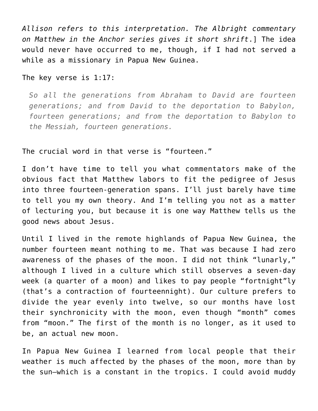*Allison refers to this interpretation. The Albright commentary on Matthew in the Anchor series gives it short shrift*.] The idea would never have occurred to me, though, if I had not served a while as a missionary in Papua New Guinea.

## The key verse is 1:17:

*So all the generations from Abraham to David are fourteen generations; and from David to the deportation to Babylon, fourteen generations; and from the deportation to Babylon to the Messiah, fourteen generations.*

## The crucial word in that verse is "fourteen."

I don't have time to tell you what commentators make of the obvious fact that Matthew labors to fit the pedigree of Jesus into three fourteen-generation spans. I'll just barely have time to tell you my own theory. And I'm telling you not as a matter of lecturing you, but because it is one way Matthew tells us the good news about Jesus.

Until I lived in the remote highlands of Papua New Guinea, the number fourteen meant nothing to me. That was because I had zero awareness of the phases of the moon. I did not think "lunarly," although I lived in a culture which still observes a seven-day week (a quarter of a moon) and likes to pay people "fortnight"ly (that's a contraction of fourteennight). Our culture prefers to divide the year evenly into twelve, so our months have lost their synchronicity with the moon, even though "month" comes from "moon." The first of the month is no longer, as it used to be, an actual new moon.

In Papua New Guinea I learned from local people that their weather is much affected by the phases of the moon, more than by the sun—which is a constant in the tropics. I could avoid muddy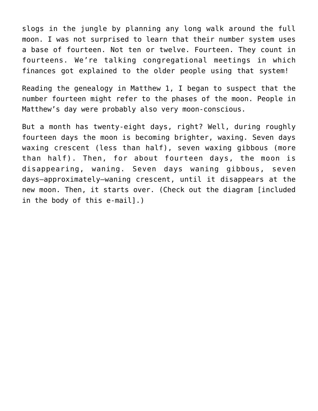slogs in the jungle by planning any long walk around the full moon. I was not surprised to learn that their number system uses a base of fourteen. Not ten or twelve. Fourteen. They count in fourteens. We're talking congregational meetings in which finances got explained to the older people using that system!

Reading the genealogy in Matthew 1, I began to suspect that the number fourteen might refer to the phases of the moon. People in Matthew's day were probably also very moon-conscious.

But a month has twenty-eight days, right? Well, during roughly fourteen days the moon is becoming brighter, waxing. Seven days waxing crescent (less than half), seven waxing gibbous (more than half). Then, for about fourteen days, the moon is disappearing, waning. Seven days waning gibbous, seven days—approximately—waning crescent, until it disappears at the new moon. Then, it starts over. (Check out the diagram [included in the body of this e-mail].)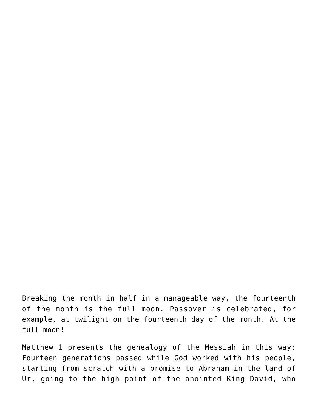Breaking the month in half in a manageable way, the fourteenth of the month is the full moon. Passover is celebrated, for example, at twilight on the fourteenth day of the month. At the full moon!

Matthew 1 presents the genealogy of the Messiah in this way: Fourteen generations passed while God worked with his people, starting from scratch with a promise to Abraham in the land of Ur, going to the high point of the anointed King David, who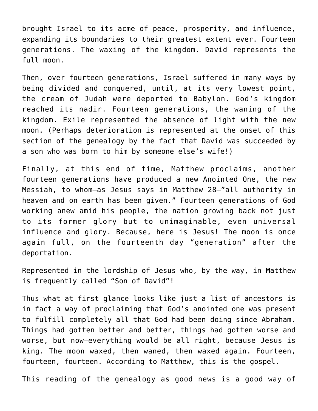brought Israel to its acme of peace, prosperity, and influence, expanding its boundaries to their greatest extent ever. Fourteen generations. The waxing of the kingdom. David represents the full moon.

Then, over fourteen generations, Israel suffered in many ways by being divided and conquered, until, at its very lowest point, the cream of Judah were deported to Babylon. God's kingdom reached its nadir. Fourteen generations, the waning of the kingdom. Exile represented the absence of light with the new moon. (Perhaps deterioration is represented at the onset of this section of the genealogy by the fact that David was succeeded by a son who was born to him by someone else's wife!)

Finally, at this end of time, Matthew proclaims, another fourteen generations have produced a new Anointed One, the new Messiah, to whom—as Jesus says in Matthew 28—"all authority in heaven and on earth has been given." Fourteen generations of God working anew amid his people, the nation growing back not just to its former glory but to unimaginable, even universal influence and glory. Because, here is Jesus! The moon is once again full, on the fourteenth day "generation" after the deportation.

Represented in the lordship of Jesus who, by the way, in Matthew is frequently called "Son of David"!

Thus what at first glance looks like just a list of ancestors is in fact a way of proclaiming that God's anointed one was present to fulfill completely all that God had been doing since Abraham. Things had gotten better and better, things had gotten worse and worse, but now—everything would be all right, because Jesus is king. The moon waxed, then waned, then waxed again. Fourteen, fourteen, fourteen. According to Matthew, this is the gospel.

This reading of the genealogy as good news is a good way of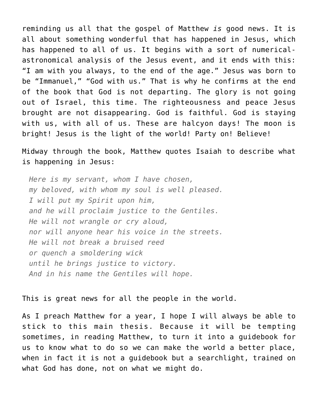reminding us all that the gospel of Matthew *is* good news. It is all about something wonderful that has happened in Jesus, which has happened to all of us. It begins with a sort of numericalastronomical analysis of the Jesus event, and it ends with this: "I am with you always, to the end of the age." Jesus was born to be "Immanuel," "God with us." That is why he confirms at the end of the book that God is not departing. The glory is not going out of Israel, this time. The righteousness and peace Jesus brought are not disappearing. God is faithful. God is staying with us, with all of us. These are halcyon days! The moon is bright! Jesus is the light of the world! Party on! Believe!

Midway through the book, Matthew quotes Isaiah to describe what is happening in Jesus:

*Here is my servant, whom I have chosen, my beloved, with whom my soul is well pleased. I will put my Spirit upon him, and he will proclaim justice to the Gentiles. He will not wrangle or cry aloud, nor will anyone hear his voice in the streets. He will not break a bruised reed or quench a smoldering wick until he brings justice to victory. And in his name the Gentiles will hope.*

This is great news for all the people in the world.

As I preach Matthew for a year, I hope I will always be able to stick to this main thesis. Because it will be tempting sometimes, in reading Matthew, to turn it into a guidebook for us to know what to do so we can make the world a better place, when in fact it is not a guidebook but a searchlight, trained on what God has done, not on what we might do.